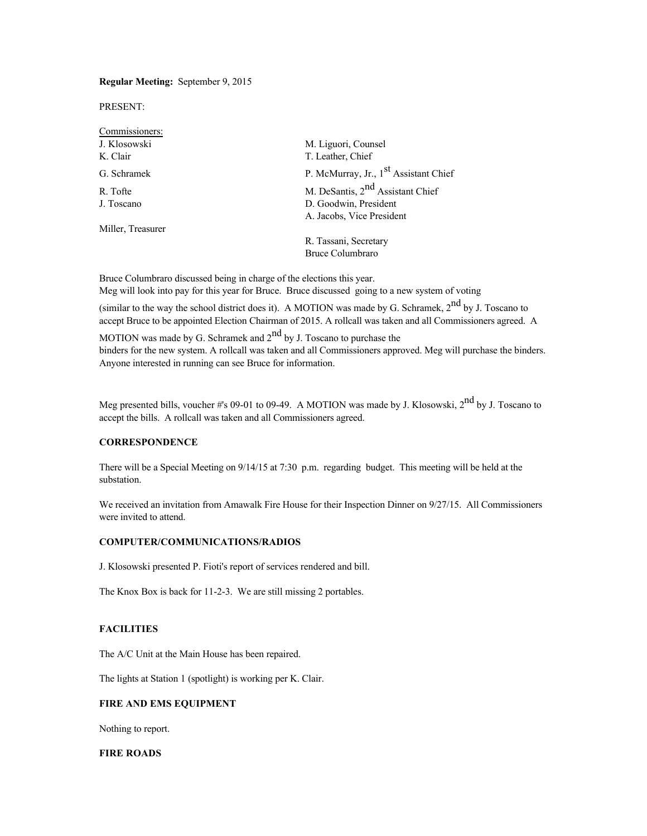## **Regular Meeting:** September 9, 2015

PRESENT:

| Commissioners:    |                                                   |
|-------------------|---------------------------------------------------|
| J. Klosowski      | M. Liguori, Counsel                               |
| K. Clair          | T. Leather, Chief                                 |
| G. Schramek       | P. McMurray, Jr., 1 <sup>st</sup> Assistant Chief |
| R. Tofte          | M. DeSantis, 2 <sup>nd</sup> Assistant Chief      |
| J. Toscano        | D. Goodwin, President                             |
|                   | A. Jacobs, Vice President                         |
| Miller, Treasurer |                                                   |
|                   | R. Tassani, Secretary                             |
|                   | <b>Bruce Columbraro</b>                           |

Bruce Columbraro discussed being in charge of the elections this year. Meg will look into pay for this year for Bruce. Bruce discussed going to a new system of voting

(similar to the way the school district does it). A MOTION was made by G. Schramek,  $2^{nd}$  by J. Toscano to accept Bruce to be appointed Election Chairman of 2015. A rollcall was taken and all Commissioners agreed. A

MOTION was made by G. Schramek and  $2<sup>nd</sup>$  by J. Toscano to purchase the binders for the new system. A rollcall was taken and all Commissioners approved. Meg will purchase the binders. Anyone interested in running can see Bruce for information.

Meg presented bills, voucher #'s 09-01 to 09-49. A MOTION was made by J. Klosowski, 2<sup>nd</sup> by J. Toscano to accept the bills. A rollcall was taken and all Commissioners agreed.

## **CORRESPONDENCE**

There will be a Special Meeting on 9/14/15 at 7:30 p.m. regarding budget. This meeting will be held at the substation.

We received an invitation from Amawalk Fire House for their Inspection Dinner on  $9/27/15$ . All Commissioners were invited to attend.

#### **COMPUTER/COMMUNICATIONS/RADIOS**

J. Klosowski presented P. Fioti's report of services rendered and bill.

The Knox Box is back for 11-2-3. We are still missing 2 portables.

## **FACILITIES**

The A/C Unit at the Main House has been repaired.

The lights at Station 1 (spotlight) is working per K. Clair.

## **FIRE AND EMS EQUIPMENT**

Nothing to report.

# **FIRE ROADS**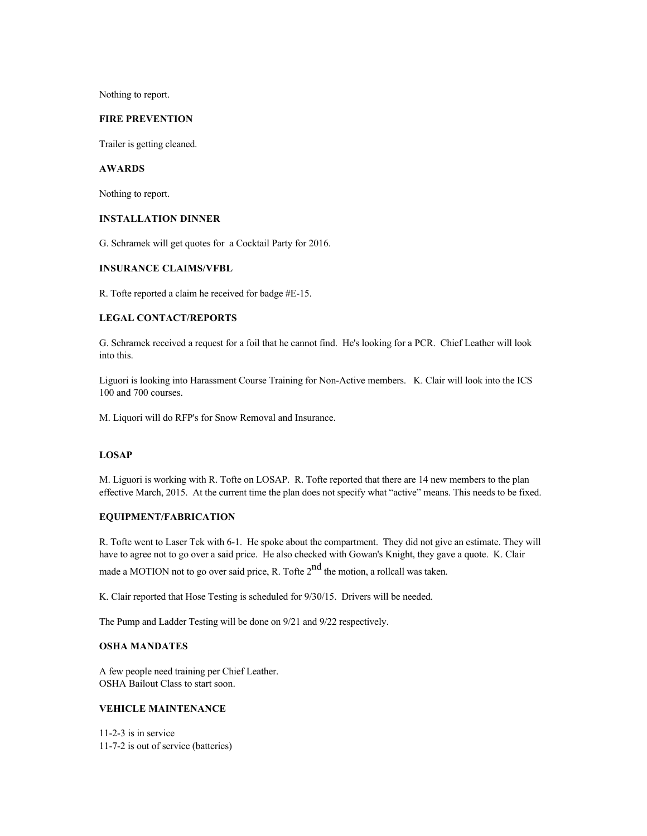Nothing to report.

#### **FIRE PREVENTION**

Trailer is getting cleaned.

## **AWARDS**

Nothing to report.

#### **INSTALLATION DINNER**

G. Schramek will get quotes for a Cocktail Party for 2016.

## **INSURANCE CLAIMS/VFBL**

R. Tofte reported a claim he received for badge #E-15.

#### **LEGAL CONTACT/REPORTS**

G. Schramek received a request for a foil that he cannot find. He's looking for a PCR. Chief Leather will look into this.

Liguori is looking into Harassment Course Training for Non-Active members. K. Clair will look into the ICS 100 and 700 courses.

M. Liquori will do RFP's for Snow Removal and Insurance.

### **LOSAP**

M. Liguori is working with R. Tofte on LOSAP. R. Tofte reported that there are 14 new members to the plan effective March, 2015. At the current time the plan does not specify what "active" means. This needs to be fixed.

# **EQUIPMENT/FABRICATION**

R. Tofte went to Laser Tek with 6-1. He spoke about the compartment. They did not give an estimate. They will have to agree not to go over a said price. He also checked with Gowan's Knight, they gave a quote. K. Clair made a MOTION not to go over said price, R. Tofte  $2<sup>nd</sup>$  the motion, a rollcall was taken.

K. Clair reported that Hose Testing is scheduled for 9/30/15. Drivers will be needed.

The Pump and Ladder Testing will be done on 9/21 and 9/22 respectively.

#### **OSHA MANDATES**

A few people need training per Chief Leather. OSHA Bailout Class to start soon.

# **VEHICLE MAINTENANCE**

11-2-3 is in service 11-7-2 is out of service (batteries)